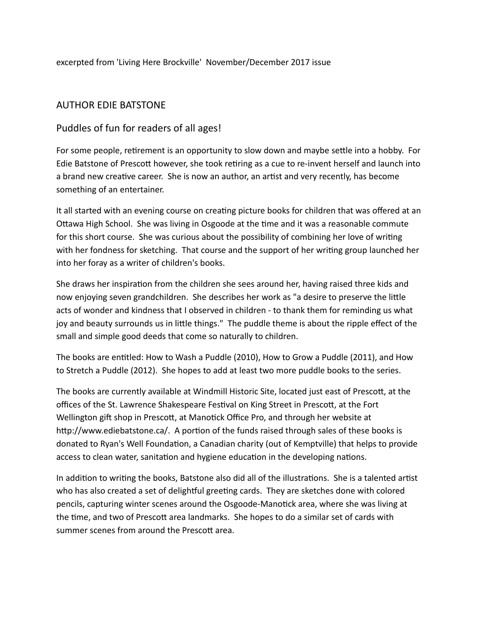excerpted from 'Living Here Brockville' November/December 2017 issue

## AUTHOR EDIE BATSTONE

## Puddles of fun for readers of all ages!

For some people, retirement is an opportunity to slow down and maybe settle into a hobby. For Edie Batstone of Prescott however, she took retiring as a cue to re-invent herself and launch into a brand new creative career. She is now an author, an artist and very recently, has become something of an entertainer.

It all started with an evening course on creating picture books for children that was offered at an Ottawa High School. She was living in Osgoode at the time and it was a reasonable commute for this short course. She was curious about the possibility of combining her love of writing with her fondness for sketching. That course and the support of her writing group launched her into her foray as a writer of children's books.

She draws her inspiration from the children she sees around her, having raised three kids and now enjoying seven grandchildren. She describes her work as "a desire to preserve the little acts of wonder and kindness that I observed in children - to thank them for reminding us what joy and beauty surrounds us in little things." The puddle theme is about the ripple effect of the small and simple good deeds that come so naturally to children.

The books are entitled: How to Wash a Puddle (2010), How to Grow a Puddle (2011), and How to Stretch a Puddle (2012). She hopes to add at least two more puddle books to the series.

The books are currently available at Windmill Historic Site, located just east of Prescott, at the offices of the St. Lawrence Shakespeare Festival on King Street in Prescott, at the Fort Wellington gift shop in Prescott, at Manotick Office Pro, and through her website at http://www.ediebatstone.ca/. A portion of the funds raised through sales of these books is donated to Ryan's Well Foundation, a Canadian charity (out of Kemptville) that helps to provide access to clean water, sanitation and hygiene education in the developing nations.

In addition to writing the books, Batstone also did all of the illustrations. She is a talented artist who has also created a set of delightful greeting cards. They are sketches done with colored pencils, capturing winter scenes around the Osgoode-Manotick area, where she was living at the time, and two of Prescott area landmarks. She hopes to do a similar set of cards with summer scenes from around the Prescott area.